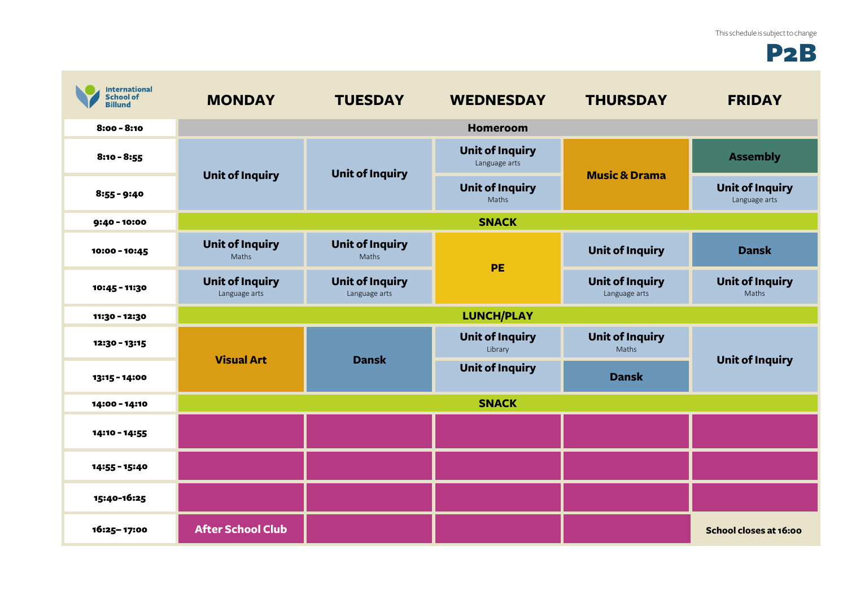## P2B

| <b>International</b><br><b>School of</b><br><b>Billund</b> | <b>MONDAY</b>                           | <b>TUESDAY</b>                          | <b>WEDNESDAY</b>                        | <b>THURSDAY</b>                         | <b>FRIDAY</b>                           |  |
|------------------------------------------------------------|-----------------------------------------|-----------------------------------------|-----------------------------------------|-----------------------------------------|-----------------------------------------|--|
| $8:00 - 8:10$                                              |                                         |                                         | Homeroom                                |                                         |                                         |  |
| $8:10 - 8:55$                                              |                                         | <b>Unit of Inquiry</b>                  | <b>Unit of Inquiry</b><br>Language arts | <b>Music &amp; Drama</b>                | <b>Assembly</b>                         |  |
| $8:55 - 9:40$                                              | <b>Unit of Inquiry</b>                  |                                         | <b>Unit of Inquiry</b><br>Maths         |                                         | <b>Unit of Inquiry</b><br>Language arts |  |
| 9:40 - 10:00                                               | <b>SNACK</b>                            |                                         |                                         |                                         |                                         |  |
| 10:00 - 10:45                                              | <b>Unit of Inquiry</b><br>Maths         | <b>Unit of Inquiry</b><br>Maths         | <b>PE</b>                               | <b>Unit of Inquiry</b>                  | <b>Dansk</b>                            |  |
| 10:45 - 11:30                                              | <b>Unit of Inquiry</b><br>Language arts | <b>Unit of Inquiry</b><br>Language arts |                                         | <b>Unit of Inquiry</b><br>Language arts | <b>Unit of Inquiry</b><br>Maths         |  |
| 11:30 - 12:30                                              | <b>LUNCH/PLAY</b>                       |                                         |                                         |                                         |                                         |  |
| 12:30 - 13:15                                              |                                         | <b>Dansk</b>                            | <b>Unit of Inquiry</b><br>Library       | <b>Unit of Inquiry</b><br>Maths         | <b>Unit of Inquiry</b>                  |  |
| 13:15 - 14:00                                              | <b>Visual Art</b>                       |                                         | <b>Unit of Inquiry</b>                  | <b>Dansk</b>                            |                                         |  |
| 14:00 - 14:10                                              | <b>SNACK</b>                            |                                         |                                         |                                         |                                         |  |
| 14:10 - 14:55                                              |                                         |                                         |                                         |                                         |                                         |  |
| 14:55 - 15:40                                              |                                         |                                         |                                         |                                         |                                         |  |
| 15:40-16:25                                                |                                         |                                         |                                         |                                         |                                         |  |
| 16:25-17:00                                                | <b>After School Club</b>                |                                         |                                         |                                         | School closes at 16:00                  |  |

**Contract**